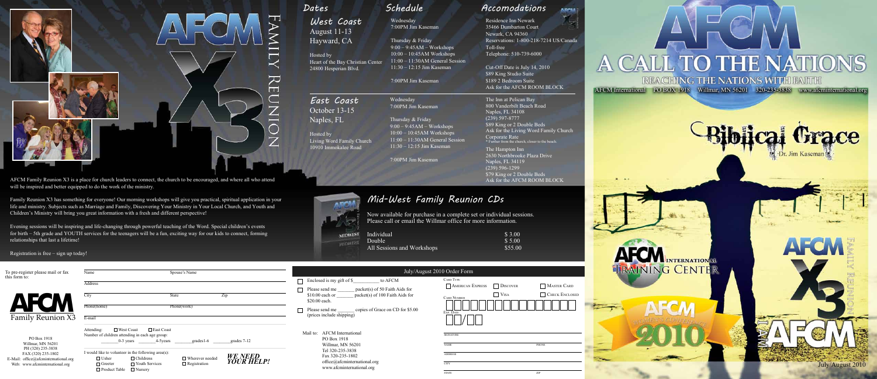

**AFCM** 

\$89 King Studio Suite \$189 2 Bedroom Suite

Now available for purchase in a complete set or individual sessions. Please call or email the Willmar office for more information.

#### *Dates*

### *Mid-West Family Reunion CDs*

*West Coast* August 11-13 Hayward, CA

Hosted by Heart of the Bay Christian Center 24800 Hesperian Blvd.

Residence Inn Newark 35466 Dumbarton Court Newark, CA 94360

Reservations: 1-800-218-7214 US/Canada

**ARCAA** 

Toll-free

Telephone: 510-739-6000

Cut-Off Date is July 14, 2010

Ask for the AFCM ROOM BLOCK

*East Coast* October 13-15 Naples, FL

Hosted by Living Word Family Church 10910 Immokalee Road

| To pre-register please mail or fax                                                                                | Spouse's Name<br>Name                                                                                                                                                                                                                                                | July/Augu                                                                                                                |
|-------------------------------------------------------------------------------------------------------------------|----------------------------------------------------------------------------------------------------------------------------------------------------------------------------------------------------------------------------------------------------------------------|--------------------------------------------------------------------------------------------------------------------------|
| this form to:                                                                                                     | <b>Address</b>                                                                                                                                                                                                                                                       | Enclosed is my gift of \$<br>to AFCM                                                                                     |
|                                                                                                                   | City<br>State<br>Zip                                                                                                                                                                                                                                                 | packet(s) of 50 Faith Aids for<br>Please send me<br>$$10.00$ each or<br>packet(s) of 100 Faith Aids for<br>\$20.00 each. |
| <b>Family Reunion X3</b>                                                                                          | Phone(home)<br>Phone(work)<br>E-mail                                                                                                                                                                                                                                 | copies of Grace on CD for \$5.00<br>Please send me<br>(prices include shipping)                                          |
| PO Box 1918<br>Willmar, MN 56201                                                                                  | $\Box$ East Coast<br>$\Box$ West Coast<br>Attending:<br>Number of children attending in each age group:<br>0-3 years 4-5 years<br>$grades1-6$<br>grades 7-12                                                                                                         | <b>AFCM</b> International<br>Mail to:<br>PO Box 1918<br>Willmar, MN 56201                                                |
| PH (320) 235-3838<br>FAX (320) 235-1802<br>E-Mail: office@afcminternational.org<br>Web: www.afcminternational.org | I would like to volunteer in the following area(s):<br><b>WE NEED</b><br>$\Box$ Wherever needed<br>$\Box$ Childrens<br>$\Box$ Usher<br><b>YOUR HELP!</b><br>$\Box$ Registration<br>$\Box$ Youth Services<br>$\Box$ Greeter<br>$\Box$ Product Table<br>$\Box$ Nursery | Tel 320-235-3838<br>Fax 320-235-1802<br>office@afcminternational.org<br>www.afcminternational.org                        |

The Inn at Pelican Bay 800 Vanderbilt Beach Road Naples, FL 34108 (239) 597-8777 \$89 King or 2 Double Beds Ask for the Living Word Family Church Corporate Rate \* Further from the church, closer to the beach.

The Hampton Inn 2630 Northbrooke Plaza Drive Naples, FL 34119 (239) 596-1299 \$79 King or 2 Double Beds Ask for the AFCM ROOM BLOCK

Wednesday

## AROM **MIDWEST**

**VIDMER!** 

7:00PM Jim Kaseman Thursday & Friday 9:00 – 9:45AM – Workshops 10:00 – 10:45AM Workshops 11:00 – 11:30AM General Session 11:30 – 12:15 Jim Kaseman

7:00PM Jim Kaseman

Wednesday

7:00PM Jim Kaseman Thursday & Friday  $9:00 - 9:45AM - Workshops$ 10:00 – 10:45AM Workshops 11:00 – 11:30AM General Session 11:30 – 12:15 Jim Kaseman

7:00PM Jim Kaseman

| Individual                 | \$3.00  |
|----------------------------|---------|
| Double                     | \$5.00  |
| All Sessions and Workshops | \$55.00 |
|                            |         |

#### ust 2010 Order Form

| <b>CARD TYPE</b>   |                 |                       |
|--------------------|-----------------|-----------------------|
| AMERICAN EXPRESS   | <b>DISCOVER</b> | <b>MASTER CARD</b>    |
| <b>CARD NUMBER</b> | <b>VISA</b>     | <b>CHECK ENCLOSED</b> |
|                    |                 |                       |
| EXP. DATE          |                 |                       |
|                    |                 |                       |
| <b>SIGNATURE</b>   |                 |                       |
| <b>NAME</b>        |                 | PHONE                 |
| <b>ADDRESS</b>     |                 |                       |
| <b>CITY</b>        |                 |                       |
| <b>STATE</b>       |                 | ZIP                   |

## A CALL TO THE NATIONS REACHING THE NATIONS WITH FAITH

AFCM International PO BOX 1918 Willmar, MN 56201 320-235-3838 www.afcminternational.org

**AFCM** INTERNATION **TRAINING CENTER** 

#### *Schedule Accomodations*



AFCM Family Reunion X3 is a place for church leaders to connect, the church to be encouraged, and where all who attend will be inspired and better equipped to do the work of the ministry.

Family Reunion X3 has something for everyone! Our morning workshops will give you practical, spiritual application in your life and ministry. Subjects such as Marriage and Family, Discovering Your Ministry in Your Local Church, and Youth and Children's Ministry will bring you great information with a fresh and different perspective!

Evening sessions will be inspiring and life-changing through powerful teaching of the Word. Special children's events for birth – 5th grade and YOUTH services for the teenagers will be a fun, exciting way for our kids to connect, forming relationships that last a lifetime!

#### Registration is free – sign up today!